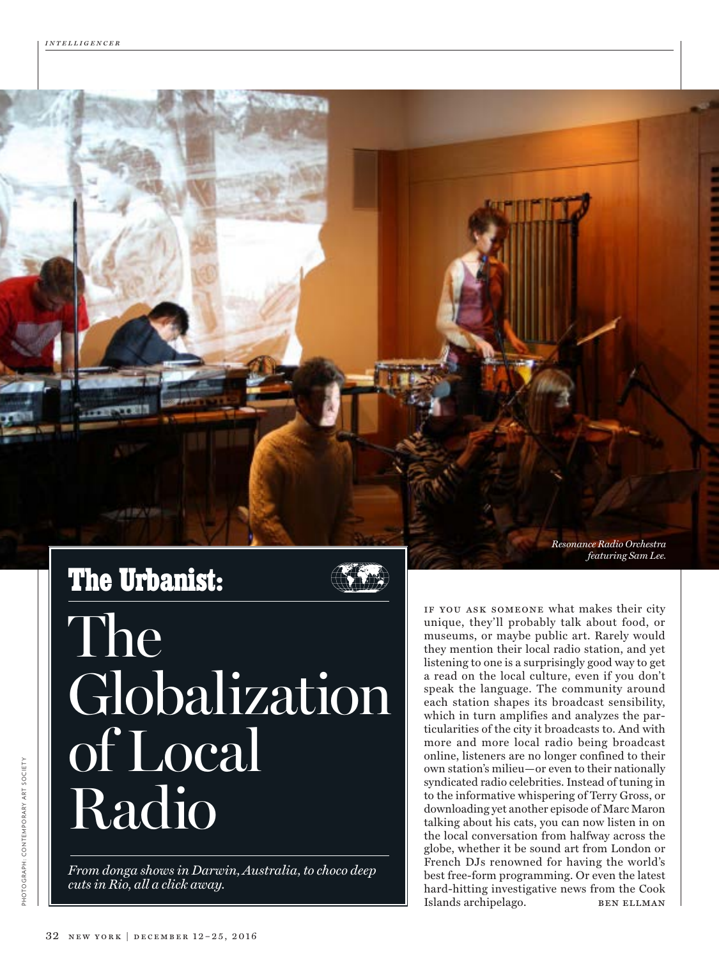## **The Urbanist:**

The Globalization of Local Radio

*From donga shows in Darwin, Australia, to choco deep cuts in Rio, all a click away.*

*Resonance Radio Orchestra featuring Sam Lee.*

if you ask someone what makes their city unique, they'll probably talk about food, or museums, or maybe public art. Rarely would they mention their local radio station, and yet listening to one is a surprisingly good way to get a read on the local culture, even if you don't speak the language. The community around each station shapes its broadcast sensibility, which in turn amplifies and analyzes the particularities of the city it broadcasts to. And with more and more local radio being broadcast online, listeners are no longer confined to their own station's milieu—or even to their nationally syndicated radio celebrities. Instead of tuning in to the informative whispering of Terry Gross, or downloading yet another episode of Marc Maron talking about his cats, you can now listen in on the local conversation from halfway across the globe, whether it be sound art from London or French DJs renowned for having the world's best free-form programming. Or even the latest hard-hitting investigative news from the Cook Islands archipelago. BEN ELLMAN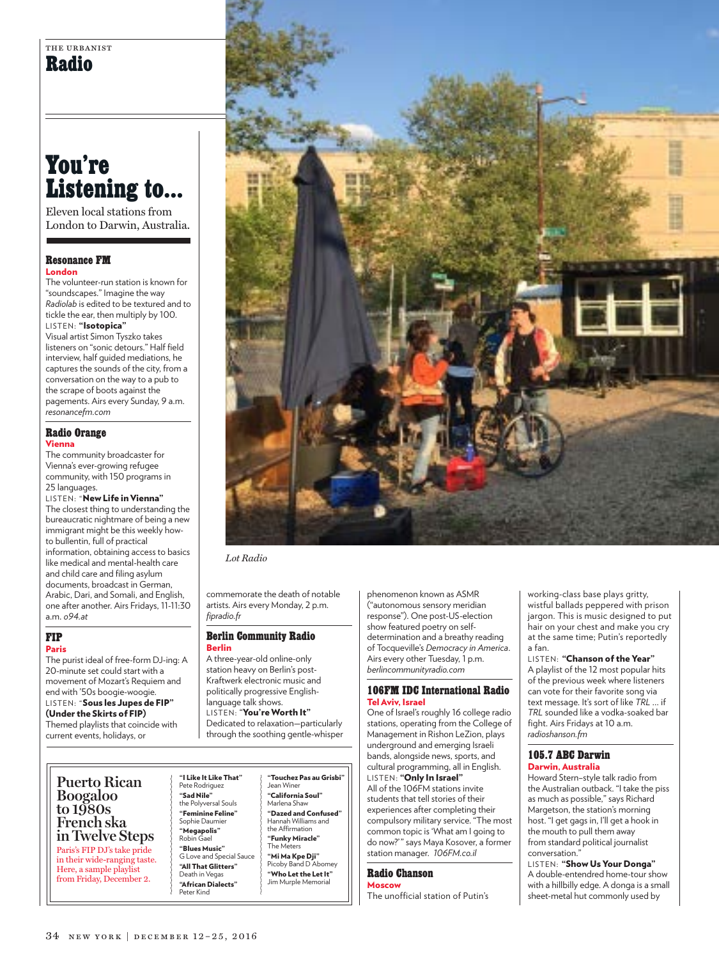## **You're Listening to…**

Eleven local stations from London to Darwin, Australia.

#### **Resonance FM**  London

The volunteer-run station is known for "soundscapes." Imagine the way *Radiolab* is edited to be textured and to tickle the ear, then multiply by 100. LISTEN: "Isotopica"

Visual artist Simon Tyszko takes listeners on "sonic detours." Half field interview, half guided mediations, he captures the sounds of the city, from a conversation on the way to a pub to the scrape of boots against the pagements. Airs every Sunday, 9 a.m. *resonancefm.com*

#### **Radio Orange**  Vienna

The community broadcaster for Vienna's ever-growing refugee community, with 150 programs in 25 languages.

LISTEN: "New Life in Vienna" The closest thing to understanding the bureaucratic nightmare of being a new immigrant might be this weekly howto bullentin, full of practical information, obtaining access to basics like medical and mental-health care and child care and filing asylum documents, broadcast in German, Arabic, Dari, and Somali, and English, one after another. Airs Fridays, 11-11:30 a.m. *o94.at*

#### **FIP** Paris

The purist ideal of free-form DJ-ing: A 20-minute set could start with a movement of Mozart's Requiem and end with '50s boogie-woogie. LISTEN: "Sous les Jupes de FIP" (Under the Skirts of FIP) Themed playlists that coincide with current events, holidays, or

*Lot Radio*

commemorate the death of notable artists. Airs every Monday, 2 p.m. *fipradio.fr*

#### **Berlin Community Radio**  Berlin

A three-year-old online-only station heavy on Berlin's post-Kraftwerk electronic music and politically progressive Englishlanguage talk shows. LISTEN: "You're Worth It"

Dedicated to relaxation—particularly through the soothing gentle-whisper phenomenon known as ASMR ("autonomous sensory meridian response"). One post-US-election show featured poetry on selfdetermination and a breathy reading of Tocqueville's *Democracy in America*. Airs every other Tuesday, 1 p.m. *berlincommunityradio.com*

#### **106FM IDC International Radio**  Tel Aviv, Israel

One of Israel's roughly 16 college radio stations, operating from the College of Management in Rishon LeZion, plays underground and emerging Israeli bands, alongside news, sports, and cultural programming, all in English. LISTEN: "Only In Israel" All of the 106FM stations invite students that tell stories of their experiences after completing their compulsory military service. "The most common topic is 'What am I going to do now?'" says Maya Kosover, a former station manager. *106FM.co.il*

#### **Radio Chanson**

Moscow The unofficial station of Putin's

working-class base plays gritty, wistful ballads peppered with prison jargon. This is music designed to put hair on your chest and make you cry at the same time; Putin's reportedly a fan.

LISTEN: "Chanson of the Year" A playlist of the 12 most popular hits of the previous week where listeners can vote for their favorite song via text message. It's sort of like *TRL* … if *TRL* sounded like a vodka-soaked bar fight. Airs Fridays at 10 a.m. *radioshanson.fm*

#### **105.7 ABC Darwin**  Darwin, Australia

Howard Stern–style talk radio from the Australian outback. "I take the piss as much as possible," says Richard Margetson, the station's morning host. "I get gags in, I'll get a hook in the mouth to pull them away from standard political journalist conversation.

LISTEN: "Show Us Your Donga" A double-entendred home-tour show with a hillbilly edge. A donga is a small sheet-metal hut commonly used by

**Puerto Rican Boogaloo to 1980s French ska in Twelve Steps** Paris's FIP DJ's take pride in their wide-ranging taste. Here, a sample playlist from Friday, December 2.

"I Like It Like That" Pete Rodriguez "Sad Nile" the Polyversal Souls "Feminine Feline" Sophie Daum "Megapolis" Robin Gael "Blues Music" G Love and Special Sau "All That Glitters" Death in Vegas

"African Dialects" Peter Kind

"Touchez Pas au Grisbi" Jean Winer "California Soul" Marlena Shaw "Dazed and Confused" Hannah Williams and the Affirmation "Funky Miracle" The M "Mi Ma Kpe Dji" Picoby Band D Abomey "Who Let the Let It" Jim Murple Memoria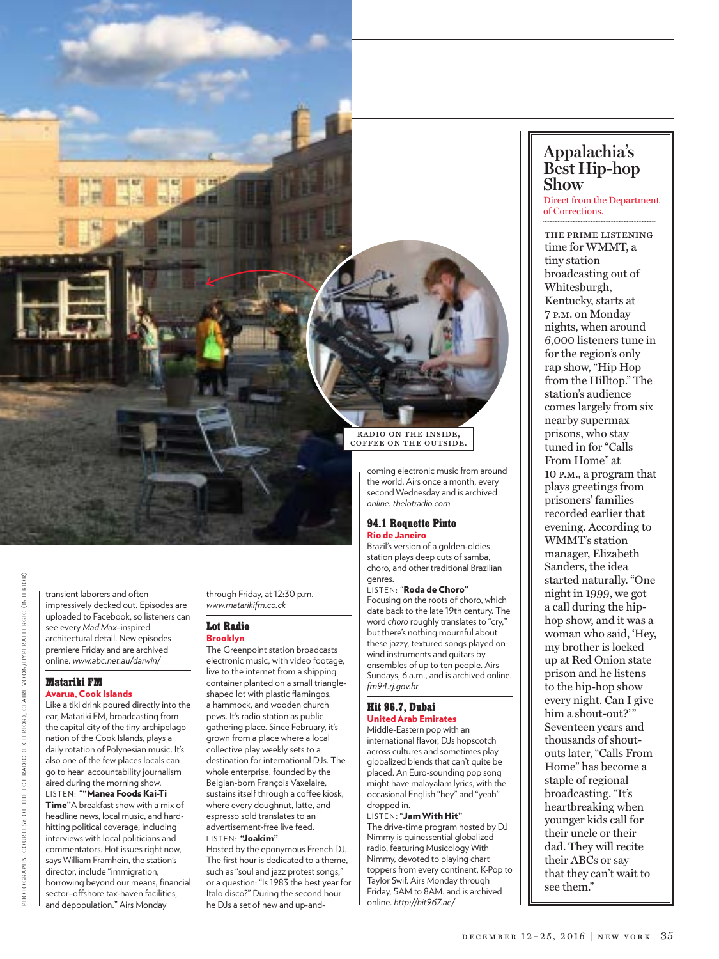

transient laborers and often impressively decked out. Episodes are uploaded to Facebook, so listeners can see every *Mad Max–*inspired architectural detail. New episodes premiere Friday and are archived online. *www.abc.net.au/darwin/*

#### **Matariki FM** Avarua, Cook Islands

Like a tiki drink poured directly into the ear, Matariki FM, broadcasting from the capital city of the tiny archipelago nation of the Cook Islands, plays a daily rotation of Polynesian music. It's also one of the few places locals can go to hear accountability journalism aired during the morning show. listen: ""Manea Foods Kai-Ti **Time**"A breakfast show with a mix of headline news, local music, and hardhitting political coverage, including interviews with local politicians and commentators. Hot issues right now, says William Framhein, the station's director, include "immigration, borrowing beyond our means, financial sector–offshore tax-haven facilities, and depopulation." Airs Monday

through Friday, at 12:30 p.m. *www.matarikifm.co.ck*

#### **Lot Radio** Brooklyn

The Greenpoint station broadcasts electronic music, with video footage, live to the internet from a shipping container planted on a small triangleshaped lot with plastic flamingos, a hammock, and wooden church pews. It's radio station as public gathering place. Since February, it's grown from a place where a local collective play weekly sets to a destination for international DJs. The whole enterprise, founded by the Belgian-born François Vaxelaire, sustains itself through a coffee kiosk, where every doughnut, latte, and espresso sold translates to an advertisement-free live feed. LISTEN: "Joakim"

Hosted by the eponymous French DJ. The first hour is dedicated to a theme, such as "soul and jazz protest songs," or a question: "Is 1983 the best year for Italo disco?" During the second hour he DJs a set of new and up-and-

radio on the inside, coffee on the outside.

> coming electronic music from around the world. Airs once a month, every second Wednesday and is archived *online. thelotradio.com*

#### **94.1 Roquette Pinto** Rio de Janeiro

Brazil's version of a golden-oldies station plays deep cuts of samba, choro, and other traditional Brazilian genres.

LISTEN: "Roda de Choro" Focusing on the roots of choro, which date back to the late 19th century. The word *choro* roughly translates to "cry," but there's nothing mournful about these jazzy, textured songs played on wind instruments and guitars by ensembles of up to ten people. Airs Sundays, 6 a.m., and is archived online. *fm94.rj.gov.br*

#### **Hit 96.7, Dubai** United Arab Emirates

Middle-Eastern pop with an international flavor, DJs hopscotch across cultures and sometimes play globalized blends that can't quite be placed. An Euro-sounding pop song might have malayalam lyrics, with the occasional English "hey" and "yeah" dropped in.

#### LISTEN: "Jam With Hit"

The drive-time program hosted by DJ Nimmy is quinessential globalized radio, featuring Musicology With Nimmy, devoted to playing chart toppers from every continent, K-Pop to Taylor Swif. Airs Monday through Friday, 5AM to 8AM. and is archived online. *http://hit967.ae/*

### **Appalachia's Best Hip-hop Show**

Direct from the Department of Corrections.

the prime listening time for WMMT, a tiny station broadcasting out of Whitesburgh, Kentucky, starts at 7 p.m. on Monday nights, when around 6,000 listeners tune in for the region's only rap show, "Hip Hop from the Hilltop." The station's audience comes largely from six nearby supermax prisons, who stay tuned in for "Calls From Home" at 10 p.m., a program that plays greetings from prisoners' families recorded earlier that evening. According to WMMT's station manager, Elizabeth Sanders, the idea started naturally. "One night in 1999, we got a call during the hiphop show, and it was a woman who said, 'Hey, my brother is locked up at Red Onion state prison and he listens to the hip-hop show every night. Can I give him a shout-out?'" Seventeen years and thousands of shoutouts later, "Calls From Home" has become a staple of regional broadcasting. "It's heartbreaking when younger kids call for their uncle or their dad. They will recite their ABCs or say that they can't wait to see them."